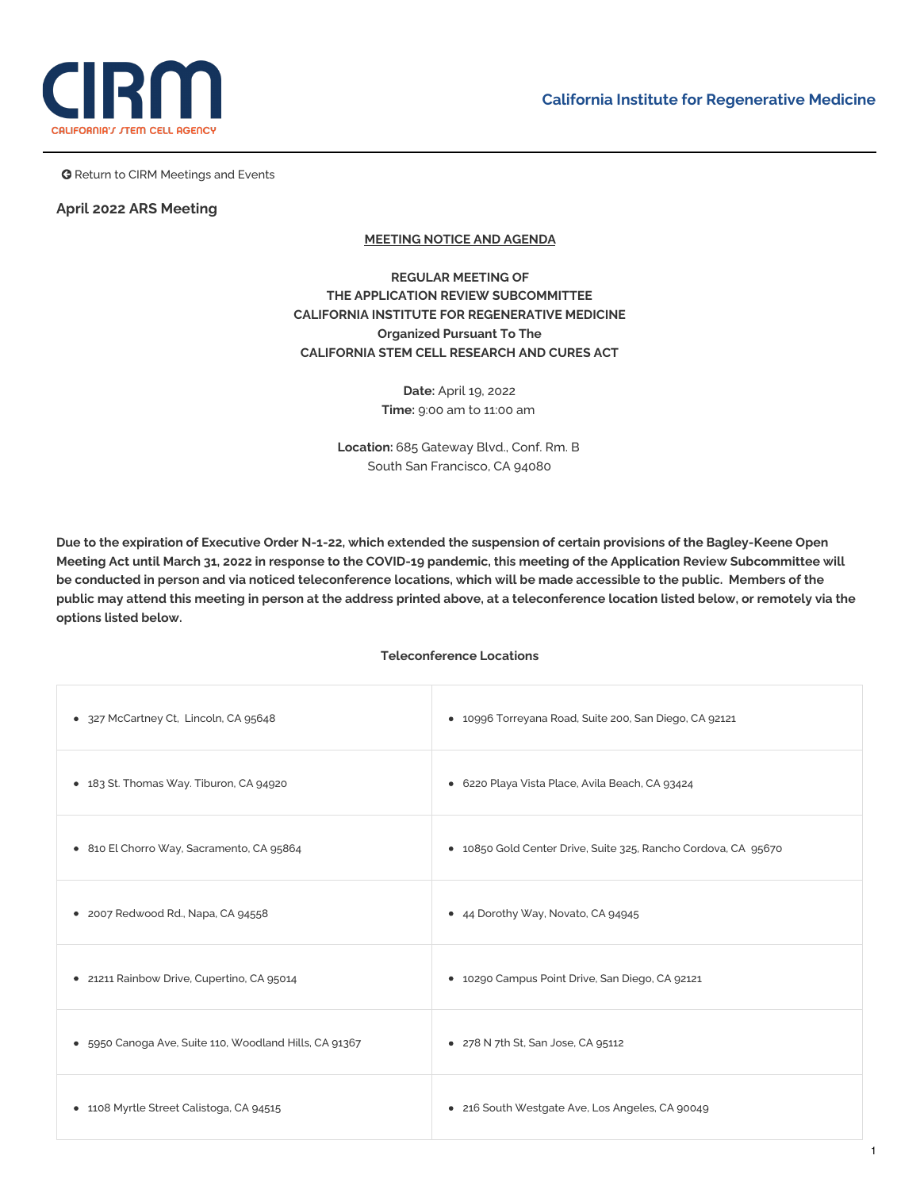



**G** Return to CIRM Meetings and Events

### **April 2022 ARS Meeting**

# **MEETING NOTICE AND AGENDA**

**REGULAR MEETING OF THE APPLICATION REVIEW SUBCOMMITTEE CALIFORNIA INSTITUTE FOR REGENERATIVE MEDICINE Organized Pursuant To The CALIFORNIA STEM CELL RESEARCH AND CURES ACT**

> **Date:** April 19, 2022 **Time:** 9:00 am to 11:00 am

**Location:** 685 Gateway Blvd., Conf. Rm. B South San Francisco, CA 94080

Due to the expiration of Executive Order N-1-22, which extended the suspension of certain provisions of the Bagley-Keene Open Meeting Act until March 31, 2022 in response to the COVID-19 pandemic, this meeting of the Application Review Subcommittee will be conducted in person and via noticed teleconference locations, which will be made accessible to the public. Members of the public may attend this meeting in person at the address printed above, at a teleconference location listed below, or remotely via the **options listed below.**

### **Teleconference Locations**

| • 327 McCartney Ct, Lincoln, CA 95648                  | • 10996 Torreyana Road, Suite 200, San Diego, CA 92121         |
|--------------------------------------------------------|----------------------------------------------------------------|
| • 183 St. Thomas Way. Tiburon, CA 94920                | • 6220 Playa Vista Place, Avila Beach, CA 93424                |
| • 810 El Chorro Way, Sacramento, CA 95864              | • 10850 Gold Center Drive, Suite 325, Rancho Cordova, CA 95670 |
| • 2007 Redwood Rd., Napa, CA 94558                     | • 44 Dorothy Way, Novato, CA 94945                             |
| · 21211 Rainbow Drive, Cupertino, CA 95014             | • 10290 Campus Point Drive, San Diego, CA 92121                |
| • 5950 Canoga Ave, Suite 110, Woodland Hills, CA 91367 | • 278 N 7th St, San Jose, CA 95112                             |
| • 1108 Myrtle Street Calistoga, CA 94515               | • 216 South Westgate Ave, Los Angeles, CA 90049                |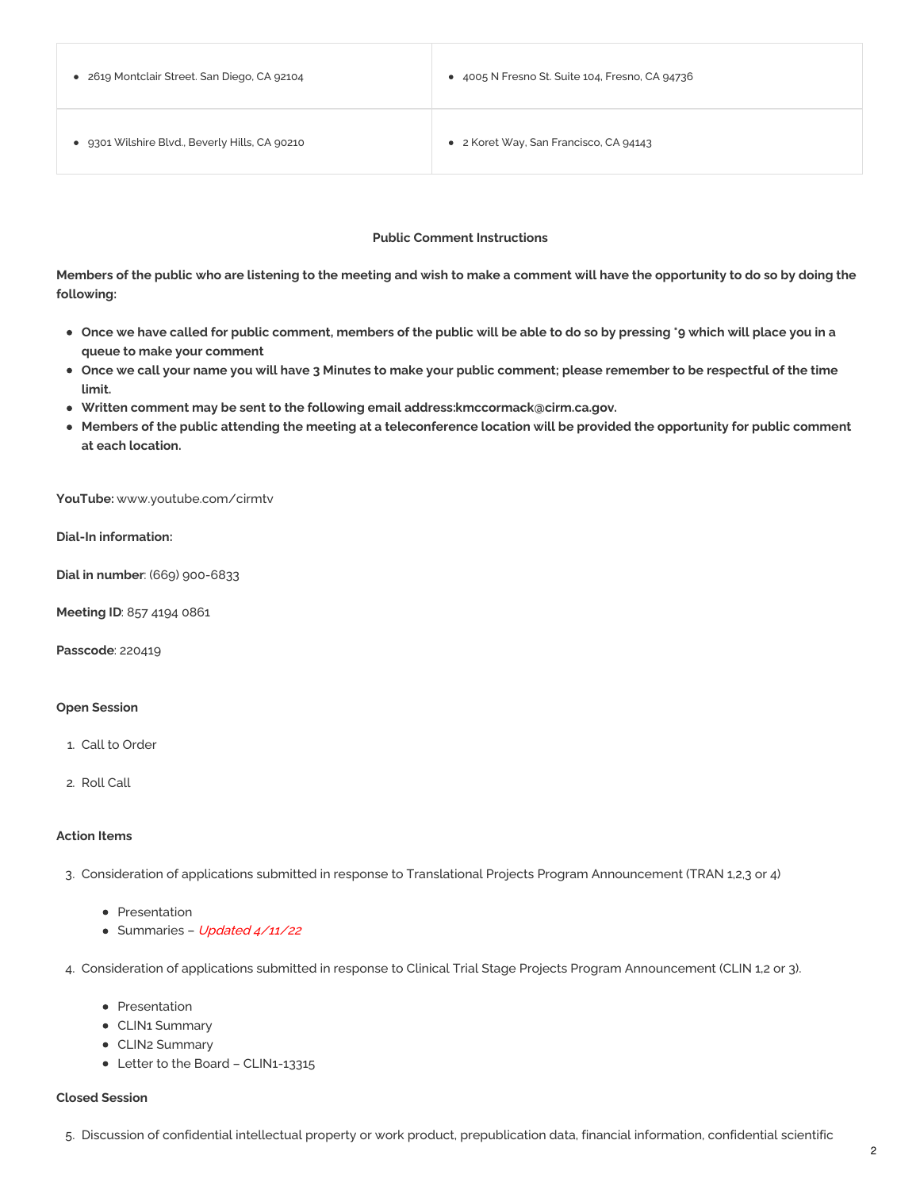| • 2619 Montclair Street. San Diego, CA 92104   | • 4005 N Fresno St. Suite 104, Fresno, CA 94736 |
|------------------------------------------------|-------------------------------------------------|
| • 9301 Wilshire Blvd., Beverly Hills, CA 90210 | • 2 Koret Way, San Francisco, CA 94143          |

### **Public Comment Instructions**

Members of the public who are listening to the meeting and wish to make a comment will have the opportunity to do so by doing the **following:**

- Once we have called for public comment, members of the public will be able to do so by pressing \*9 which will place you in a **queue to make your comment**
- Once we call your name you will have 3 Minutes to make your public comment; please remember to be respectful of the time **limit.**
- **Written comment may be sent to the following email address[:kmccormack@cirm.ca.gov](mailto:kmccormack@cirm.ca.gov).**
- Members of the public attending the meeting at a teleconference location will be provided the opportunity for public comment **at each location.**

**YouTube:** [www.youtube.com/cirmtv](http://www.youtube.com/cirmtv)

**Dial-In information:**

**Dial in number**: (669) 900-6833

**Meeting ID**: 857 4194 0861

**Passcode**: 220419

#### **Open Session**

- 1. Call to Order
- 2. Roll Call

#### **Action Items**

3. Consideration of applications submitted in response to Translational Projects Program Announcement (TRAN 1,2,3 or 4)

- [Presentation](https://www.cirm.ca.gov/sites/default/files/files/agenda/2022%20APR%20TRAN%20Slides.pdf)
- [Summaries](https://www.cirm.ca.gov/sites/default/files/files/agenda/TRAN%2022.1%20Public%20Summaries%204-11.pdf) Updated 4/11/22
- 4. Consideration of applications submitted in response to Clinical Trial Stage Projects Program Announcement (CLIN 1,2 or 3).
	- [Presentation](https://www.cirm.ca.gov/sites/default/files/files/agenda/2022%20APR%20CLIN%20Slides.pdf)
	- CLIN1 [Summary](https://www.cirm.ca.gov/sites/default/files/files/agenda/CLIN1-13315%20Public%20Summary.pdf)
	- CLIN2 [Summary](https://www.cirm.ca.gov/sites/default/files/files/agenda/CLIN2-12823%20%25232%20Public%20Summary.pdf)
	- Letter to the Board [CLIN1-13315](https://www.cirm.ca.gov/sites/default/files/files/agenda/CIRM%20CLIN1%20ICOC%20letter%20041222.pdf)

#### **Closed Session**

5. Discussion of confidential intellectual property or work product, prepublication data, financial information, confidential scientific